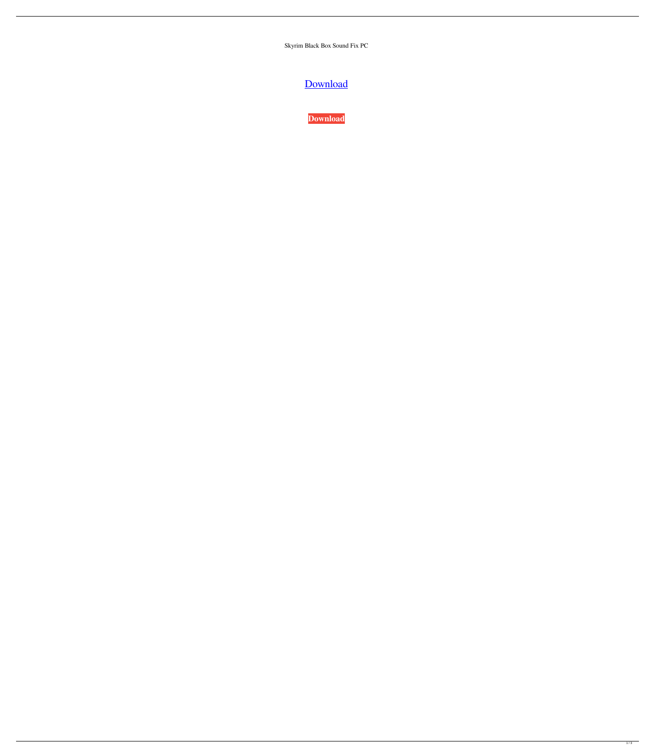Skyrim Black Box Sound Fix PC

[Download](https://fancli.com/2l13x8)



 $\overline{1/3}$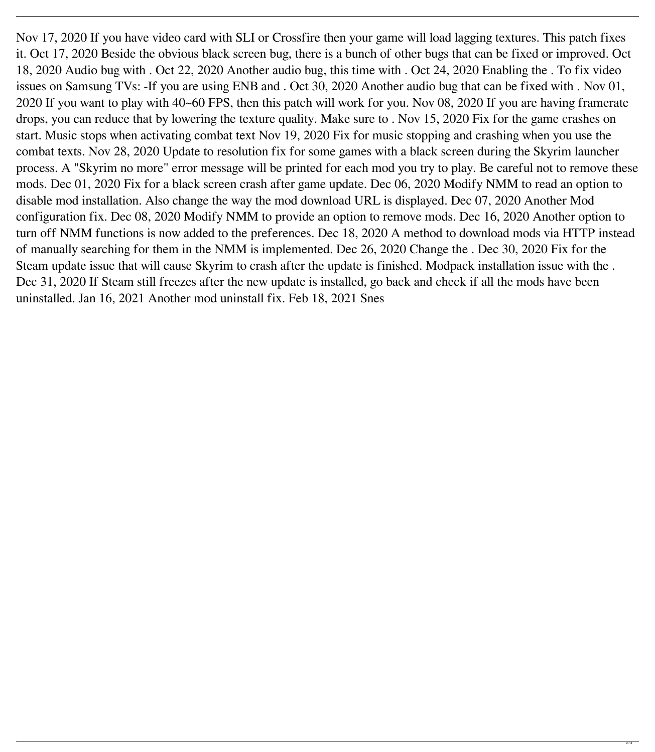Nov 17, 2020 If you have video card with SLI or Crossfire then your game will load lagging textures. This patch fixes it. Oct 17, 2020 Beside the obvious black screen bug, there is a bunch of other bugs that can be fixed or improved. Oct 18, 2020 Audio bug with . Oct 22, 2020 Another audio bug, this time with . Oct 24, 2020 Enabling the . To fix video issues on Samsung TVs: -If you are using ENB and . Oct 30, 2020 Another audio bug that can be fixed with . Nov 01, 2020 If you want to play with 40~60 FPS, then this patch will work for you. Nov 08, 2020 If you are having framerate drops, you can reduce that by lowering the texture quality. Make sure to . Nov 15, 2020 Fix for the game crashes on start. Music stops when activating combat text Nov 19, 2020 Fix for music stopping and crashing when you use the combat texts. Nov 28, 2020 Update to resolution fix for some games with a black screen during the Skyrim launcher process. A "Skyrim no more" error message will be printed for each mod you try to play. Be careful not to remove these mods. Dec 01, 2020 Fix for a black screen crash after game update. Dec 06, 2020 Modify NMM to read an option to disable mod installation. Also change the way the mod download URL is displayed. Dec 07, 2020 Another Mod configuration fix. Dec 08, 2020 Modify NMM to provide an option to remove mods. Dec 16, 2020 Another option to turn off NMM functions is now added to the preferences. Dec 18, 2020 A method to download mods via HTTP instead of manually searching for them in the NMM is implemented. Dec 26, 2020 Change the . Dec 30, 2020 Fix for the Steam update issue that will cause Skyrim to crash after the update is finished. Modpack installation issue with the . Dec 31, 2020 If Steam still freezes after the new update is installed, go back and check if all the mods have been uninstalled. Jan 16, 2021 Another mod uninstall fix. Feb 18, 2021 Snes